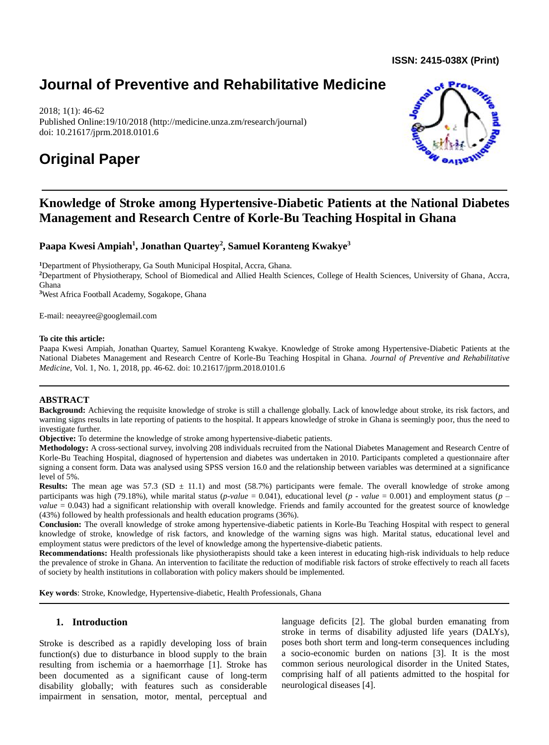**ISSN: 2415-038X (Print)** 

# **Journal of Preventive and Rehabilitative Medicine**

2018; 1(1): 46-62 Published Online:19/10/2018 (http://medicine.unza.zm/research/journal) doi: 10.21617/jprm.2018.0101.6

# **Original Paper**



# **Knowledge of Stroke among Hypertensive-Diabetic Patients at the National Diabetes Management and Research Centre of Korle-Bu Teaching Hospital in Ghana**

**Paapa Kwesi Ampiah<sup>1</sup> , Jonathan Quartey<sup>2</sup> , Samuel Koranteng Kwakye<sup>3</sup>**

**<sup>1</sup>**Department of Physiotherapy, Ga South Municipal Hospital, Accra, Ghana.

**<sup>2</sup>**Department of Physiotherapy, School of Biomedical and Allied Health Sciences, College of Health Sciences, University of Ghana, Accra, Ghana

**<sup>3</sup>**West Africa Football Academy, Sogakope, Ghana

E-mail: [neeayree@googlemail.com](mailto:neeayree@googlemail.com)

#### **To cite this article:**

Paapa Kwesi Ampiah, Jonathan Quartey, Samuel Koranteng Kwakye. Knowledge of Stroke among Hypertensive-Diabetic Patients at the National Diabetes Management and Research Centre of Korle-Bu Teaching Hospital in Ghana. *Journal of Preventive and Rehabilitative Medicine,* Vol. 1, No. 1, 2018, pp. 46-62. doi: 10.21617/jprm.2018.0101.6

#### **ABSTRACT**

**Background:** Achieving the requisite knowledge of stroke is still a challenge globally. Lack of knowledge about stroke, its risk factors, and warning signs results in late reporting of patients to the hospital. It appears knowledge of stroke in Ghana is seemingly poor, thus the need to investigate further.

**Objective:** To determine the knowledge of stroke among hypertensive-diabetic patients.

**Methodology:** A cross-sectional survey, involving 208 individuals recruited from the National Diabetes Management and Research Centre of Korle-Bu Teaching Hospital, diagnosed of hypertension and diabetes was undertaken in 2010. Participants completed a questionnaire after signing a consent form. Data was analysed using SPSS version 16.0 and the relationship between variables was determined at a significance level of 5%.

**Results:** The mean age was 57.3 (SD  $\pm$  11.1) and most (58.7%) participants were female. The overall knowledge of stroke among participants was high (79.18%), while marital status (*p-value* = 0.041), educational level (*p - value* = 0.001) and employment status (*p – value* = 0.043) had a significant relationship with overall knowledge. Friends and family accounted for the greatest source of knowledge (43%) followed by health professionals and health education programs (36%).

**Conclusion:** The overall knowledge of stroke among hypertensive-diabetic patients in Korle-Bu Teaching Hospital with respect to general knowledge of stroke, knowledge of risk factors, and knowledge of the warning signs was high. Marital status, educational level and employment status were predictors of the level of knowledge among the hypertensive-diabetic patients.

**Recommendations:** Health professionals like physiotherapists should take a keen interest in educating high-risk individuals to help reduce the prevalence of stroke in Ghana. An intervention to facilitate the reduction of modifiable risk factors of stroke effectively to reach all facets of society by health institutions in collaboration with policy makers should be implemented.

**Key words**: Stroke, Knowledge, Hypertensive-diabetic, Health Professionals, Ghana

## **1. Introduction**

Stroke is described as a rapidly developing loss of brain function(s) due to disturbance in blood supply to the brain resulting from ischemia or a haemorrhage [1]. Stroke has been documented as a significant cause of long-term disability globally; with features such as considerable impairment in sensation, motor, mental, perceptual and language deficits [2]. The global burden emanating from stroke in terms of disability adjusted life years (DALYs), poses both short term and long-term consequences including a socio-economic burden on nations [3]. It is the most common serious neurological disorder in the United States, comprising half of all patients admitted to the hospital for neurological diseases [4].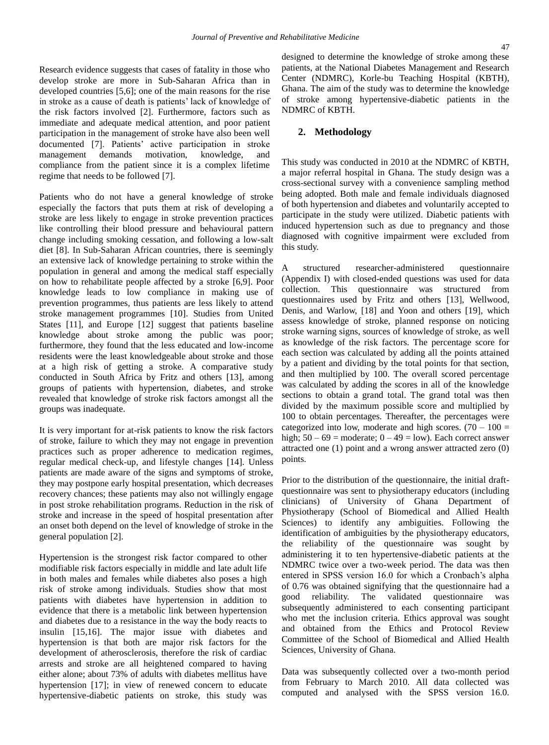Research evidence suggests that cases of fatality in those who develop stroke are more in Sub-Saharan Africa than in developed countries [5,6]; one of the main reasons for the rise in stroke as a cause of death is patients' lack of knowledge of the risk factors involved [2]. Furthermore, factors such as immediate and adequate medical attention, and poor patient participation in the management of stroke have also been well documented [7]. Patients' active participation in stroke management demands motivation, knowledge, and compliance from the patient since it is a complex lifetime regime that needs to be followed [7].

Patients who do not have a general knowledge of stroke especially the factors that puts them at risk of developing a stroke are less likely to engage in stroke prevention practices like controlling their blood pressure and behavioural pattern change including smoking cessation, and following a low-salt diet [8]. In Sub-Saharan African countries, there is seemingly an extensive lack of knowledge pertaining to stroke within the population in general and among the medical staff especially on how to rehabilitate people affected by a stroke [6,9]. Poor knowledge leads to low compliance in making use of prevention programmes, thus patients are less likely to attend stroke management programmes [10]. Studies from United States [11], and Europe [12] suggest that patients baseline knowledge about stroke among the public was poor; furthermore, they found that the less educated and low-income residents were the least knowledgeable about stroke and those at a high risk of getting a stroke. A comparative study conducted in South Africa by Fritz and others [13], among groups of patients with hypertension, diabetes, and stroke revealed that knowledge of stroke risk factors amongst all the groups was inadequate.

It is very important for at-risk patients to know the risk factors of stroke, failure to which they may not engage in prevention practices such as proper adherence to medication regimes, regular medical check-up, and lifestyle changes [14]. Unless patients are made aware of the signs and symptoms of stroke, they may postpone early hospital presentation, which decreases recovery chances; these patients may also not willingly engage in post stroke rehabilitation programs. Reduction in the risk of stroke and increase in the speed of hospital presentation after an onset both depend on the level of knowledge of stroke in the general population [2].

Hypertension is the strongest risk factor compared to other modifiable risk factors especially in middle and late adult life in both males and females while diabetes also poses a high risk of stroke among individuals. Studies show that most patients with diabetes have hypertension in addition to evidence that there is a metabolic link between hypertension and diabetes due to a resistance in the way the body reacts to insulin [15,16]. The major issue with diabetes and hypertension is that both are major risk factors for the development of atherosclerosis, therefore the risk of cardiac arrests and stroke are all heightened compared to having either alone; about 73% of adults with diabetes mellitus have hypertension [17]; in view of renewed concern to educate hypertensive-diabetic patients on stroke, this study was

designed to determine the knowledge of stroke among these patients, at the National Diabetes Management and Research Center (NDMRC), Korle-bu Teaching Hospital (KBTH), Ghana. The aim of the study was to determine the knowledge of stroke among hypertensive-diabetic patients in the NDMRC of KBTH.

### **2. Methodology**

This study was conducted in 2010 at the NDMRC of KBTH, a major referral hospital in Ghana. The study design was a cross-sectional survey with a convenience sampling method being adopted. Both male and female individuals diagnosed of both hypertension and diabetes and voluntarily accepted to participate in the study were utilized. Diabetic patients with induced hypertension such as due to pregnancy and those diagnosed with cognitive impairment were excluded from this study.

structured researcher-administered questionnaire (Appendix I) with closed-ended questions was used for data collection. This questionnaire was structured from questionnaires used by Fritz and others [13], Wellwood, Denis, and Warlow, [18] and Yoon and others [19], which assess knowledge of stroke, planned response on noticing stroke warning signs, sources of knowledge of stroke, as well as knowledge of the risk factors. The percentage score for each section was calculated by adding all the points attained by a patient and dividing by the total points for that section, and then multiplied by 100. The overall scored percentage was calculated by adding the scores in all of the knowledge sections to obtain a grand total. The grand total was then divided by the maximum possible score and multiplied by 100 to obtain percentages. Thereafter, the percentages were categorized into low, moderate and high scores.  $(70 - 100)$  = high;  $50 - 69$  = moderate;  $0 - 49$  = low). Each correct answer attracted one (1) point and a wrong answer attracted zero (0) points.

Prior to the distribution of the questionnaire, the initial draftquestionnaire was sent to physiotherapy educators (including clinicians) of University of Ghana Department of Physiotherapy (School of Biomedical and Allied Health Sciences) to identify any ambiguities. Following the identification of ambiguities by the physiotherapy educators, the reliability of the questionnaire was sought by administering it to ten hypertensive-diabetic patients at the NDMRC twice over a two-week period. The data was then entered in SPSS version 16.0 for which a Cronbach's alpha of 0.76 was obtained signifying that the questionnaire had a good reliability. The validated questionnaire was subsequently administered to each consenting participant who met the inclusion criteria. Ethics approval was sought and obtained from the Ethics and Protocol Review Committee of the School of Biomedical and Allied Health Sciences, University of Ghana*.*

Data was subsequently collected over a two-month period from February to March 2010. All data collected was computed and analysed with the SPSS version 16.0.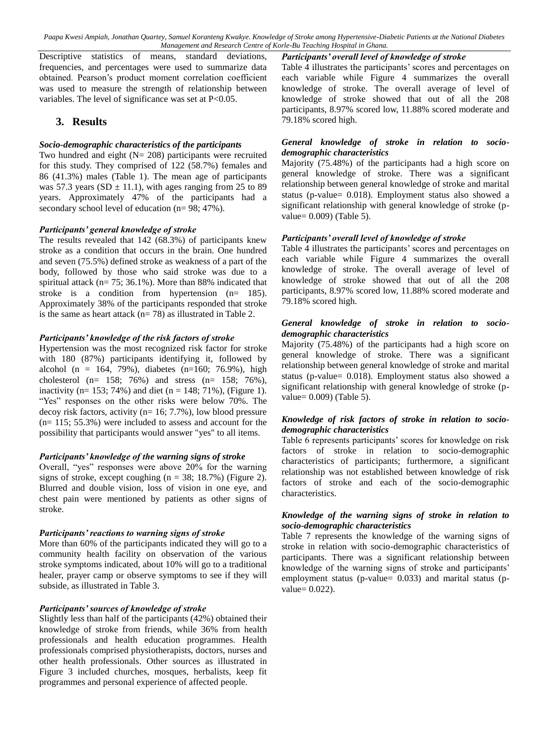Descriptive statistics of means, standard deviations, frequencies, and percentages were used to summarize data obtained. Pearson's product moment correlation coefficient was used to measure the strength of relationship between variables. The level of significance was set at P<0.05.

## **3. Results**

#### *Socio-demographic characteristics of the participants*

Two hundred and eight  $(N = 208)$  participants were recruited for this study. They comprised of 122 (58.7%) females and 86 (41.3%) males (Table 1). The mean age of participants was 57.3 years (SD  $\pm$  11.1), with ages ranging from 25 to 89 years. Approximately 47% of the participants had a secondary school level of education (n= 98; 47%).

#### *Participants' general knowledge of stroke*

The results revealed that 142 (68.3%) of participants knew stroke as a condition that occurs in the brain. One hundred and seven (75.5%) defined stroke as weakness of a part of the body, followed by those who said stroke was due to a spiritual attack (n= 75; 36.1%). More than 88% indicated that stroke is a condition from hypertension (n= 185). Approximately 38% of the participants responded that stroke is the same as heart attack  $(n= 78)$  as illustrated in Table 2.

#### *Participants' knowledge of the risk factors of stroke*

Hypertension was the most recognized risk factor for stroke with 180 (87%) participants identifying it, followed by alcohol (n = 164, 79%), diabetes (n=160; 76.9%), high cholesterol (n= 158; 76%) and stress (n= 158; 76%), inactivity (n= 153; 74%) and diet (n = 148; 71%), (Figure 1). "Yes" responses on the other risks were below 70%. The decoy risk factors, activity ( $n= 16$ ; 7.7%), low blood pressure (n= 115; 55.3%) were included to assess and account for the possibility that participants would answer "yes" to all items.

#### *Participants' knowledge of the warning signs of stroke*

Overall, "yes" responses were above 20% for the warning signs of stroke, except coughing  $(n = 38; 18.7%)$  (Figure 2). Blurred and double vision, loss of vision in one eye, and chest pain were mentioned by patients as other signs of stroke.

#### *Participants' reactions to warning signs of stroke*

More than 60% of the participants indicated they will go to a community health facility on observation of the various stroke symptoms indicated, about 10% will go to a traditional healer, prayer camp or observe symptoms to see if they will subside, as illustrated in Table 3.

#### *Participants' sources of knowledge of stroke*

Slightly less than half of the participants (42%) obtained their knowledge of stroke from friends, while 36% from health professionals and health education programmes. Health professionals comprised physiotherapists, doctors, nurses and other health professionals. Other sources as illustrated in Figure 3 included churches, mosques, herbalists, keep fit programmes and personal experience of affected people.

#### *Participants' overall level of knowledge of stroke*

Table 4 illustrates the participants' scores and percentages on each variable while Figure 4 summarizes the overall knowledge of stroke. The overall average of level of knowledge of stroke showed that out of all the 208 participants, 8.97% scored low, 11.88% scored moderate and 79.18% scored high.

#### *General knowledge of stroke in relation to sociodemographic characteristics*

Majority (75.48%) of the participants had a high score on general knowledge of stroke. There was a significant relationship between general knowledge of stroke and marital status (p-value= 0.018). Employment status also showed a significant relationship with general knowledge of stroke (pvalue= 0.009) (Table 5).

#### *Participants' overall level of knowledge of stroke*

Table 4 illustrates the participants' scores and percentages on each variable while Figure 4 summarizes the overall knowledge of stroke. The overall average of level of knowledge of stroke showed that out of all the 208 participants, 8.97% scored low, 11.88% scored moderate and 79.18% scored high.

#### *General knowledge of stroke in relation to sociodemographic characteristics*

Majority (75.48%) of the participants had a high score on general knowledge of stroke. There was a significant relationship between general knowledge of stroke and marital status (p-value= 0.018). Employment status also showed a significant relationship with general knowledge of stroke (pvalue= 0.009) (Table 5).

#### *Knowledge of risk factors of stroke in relation to sociodemographic characteristics*

Table 6 represents participants' scores for knowledge on risk factors of stroke in relation to socio-demographic characteristics of participants; furthermore, a significant relationship was not established between knowledge of risk factors of stroke and each of the socio-demographic characteristics.

#### *Knowledge of the warning signs of stroke in relation to socio-demographic characteristics*

Table 7 represents the knowledge of the warning signs of stroke in relation with socio-demographic characteristics of participants. There was a significant relationship between knowledge of the warning signs of stroke and participants' employment status (p-value= 0.033) and marital status (pvalue= 0.022).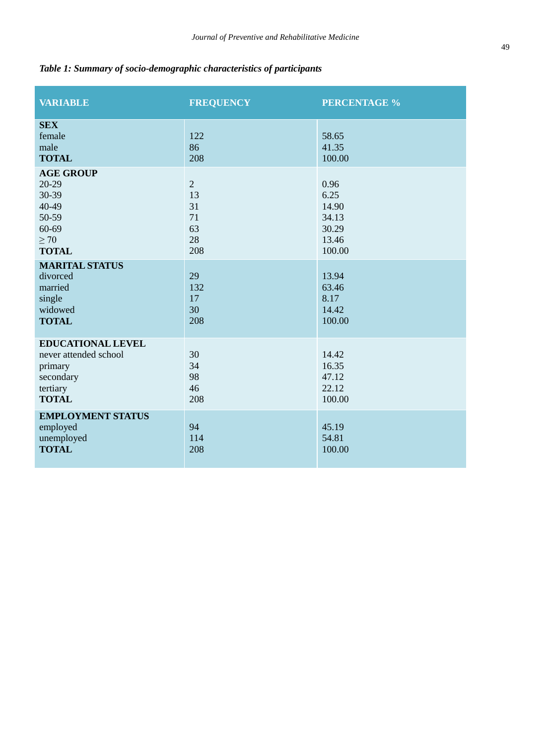# *Table 1: Summary of socio-demographic characteristics of participants*

| <b>VARIABLE</b>                                                                                       | <b>FREQUENCY</b>                                    | <b>PERCENTAGE %</b>                                        |
|-------------------------------------------------------------------------------------------------------|-----------------------------------------------------|------------------------------------------------------------|
| <b>SEX</b><br>female<br>male<br><b>TOTAL</b><br><b>AGE GROUP</b>                                      | 122<br>86<br>208                                    | 58.65<br>41.35<br>100.00                                   |
| 20-29<br>30-39<br>40-49<br>50-59<br>60-69<br>$\geq 70$<br><b>TOTAL</b>                                | $\overline{2}$<br>13<br>31<br>71<br>63<br>28<br>208 | 0.96<br>6.25<br>14.90<br>34.13<br>30.29<br>13.46<br>100.00 |
| <b>MARITAL STATUS</b><br>divorced<br>married<br>single<br>widowed<br><b>TOTAL</b>                     | 29<br>132<br>17<br>30<br>208                        | 13.94<br>63.46<br>8.17<br>14.42<br>100.00                  |
| <b>EDUCATIONAL LEVEL</b><br>never attended school<br>primary<br>secondary<br>tertiary<br><b>TOTAL</b> | 30<br>34<br>98<br>46<br>208                         | 14.42<br>16.35<br>47.12<br>22.12<br>100.00                 |
| <b>EMPLOYMENT STATUS</b><br>employed<br>unemployed<br><b>TOTAL</b>                                    | 94<br>114<br>208                                    | 45.19<br>54.81<br>100.00                                   |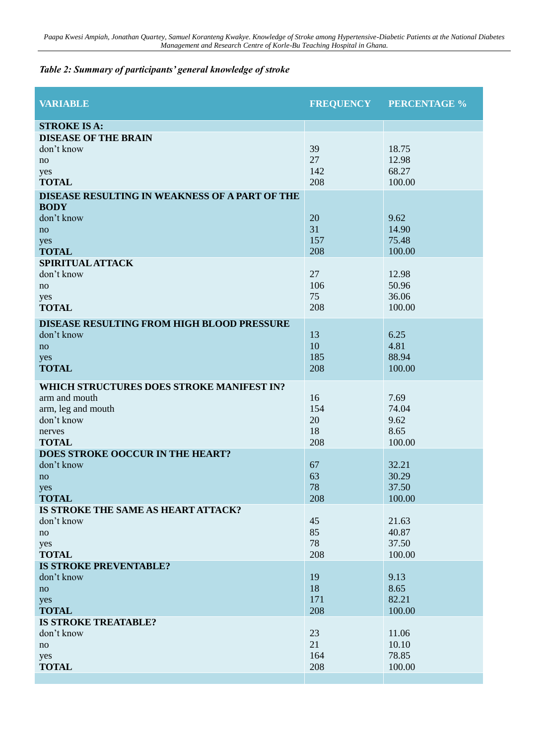# *Table 2: Summary of participants' general knowledge of stroke*

| <b>VARIABLE</b>                                     |            | <b>FREQUENCY PERCENTAGE %</b> |
|-----------------------------------------------------|------------|-------------------------------|
| <b>STROKE IS A:</b>                                 |            |                               |
| <b>DISEASE OF THE BRAIN</b>                         |            |                               |
| don't know                                          | 39         | 18.75                         |
| no                                                  | 27         | 12.98                         |
| yes                                                 | 142        | 68.27                         |
| <b>TOTAL</b>                                        | 208        | 100.00                        |
| DISEASE RESULTING IN WEAKNESS OF A PART OF THE      |            |                               |
| <b>BODY</b>                                         |            |                               |
| don't know                                          | 20         | 9.62                          |
| no                                                  | 31         | 14.90                         |
| yes                                                 | 157<br>208 | 75.48<br>100.00               |
| <b>TOTAL</b><br><b>SPIRITUAL ATTACK</b>             |            |                               |
| don't know                                          | 27         | 12.98                         |
| no                                                  | 106        | 50.96                         |
| yes                                                 | 75         | 36.06                         |
| <b>TOTAL</b>                                        | 208        | 100.00                        |
| DISEASE RESULTING FROM HIGH BLOOD PRESSURE          |            |                               |
| don't know                                          | 13         | 6.25                          |
| no                                                  | 10         | 4.81                          |
| yes                                                 | 185        | 88.94                         |
| <b>TOTAL</b>                                        | 208        | 100.00                        |
| WHICH STRUCTURES DOES STROKE MANIFEST IN?           |            |                               |
| arm and mouth                                       | 16         | 7.69                          |
| arm, leg and mouth                                  | 154        | 74.04                         |
| don't know                                          | 20         | 9.62                          |
| nerves                                              | 18         | 8.65                          |
| <b>TOTAL</b>                                        | 208        | 100.00                        |
| DOES STROKE OOCCUR IN THE HEART?                    |            |                               |
| don't know                                          | 67         | 32.21                         |
| no                                                  | 63         | 30.29                         |
| yes                                                 | 78         | 37.50                         |
| <b>TOTAL</b><br>IS STROKE THE SAME AS HEART ATTACK? | 208        | 100.00                        |
| don't know                                          | 45         | 21.63                         |
| no                                                  | 85         | 40.87                         |
| yes                                                 | 78         | 37.50                         |
| <b>TOTAL</b>                                        | 208        | 100.00                        |
| <b>IS STROKE PREVENTABLE?</b>                       |            |                               |
| don't know                                          | 19         | 9.13                          |
| no                                                  | 18         | 8.65                          |
| yes                                                 | 171        | 82.21                         |
| <b>TOTAL</b>                                        | 208        | 100.00                        |
| <b>IS STROKE TREATABLE?</b>                         |            |                               |
| don't know                                          | 23         | 11.06                         |
| no                                                  | 21         | 10.10                         |
| yes<br><b>TOTAL</b>                                 | 164<br>208 | 78.85<br>100.00               |
|                                                     |            |                               |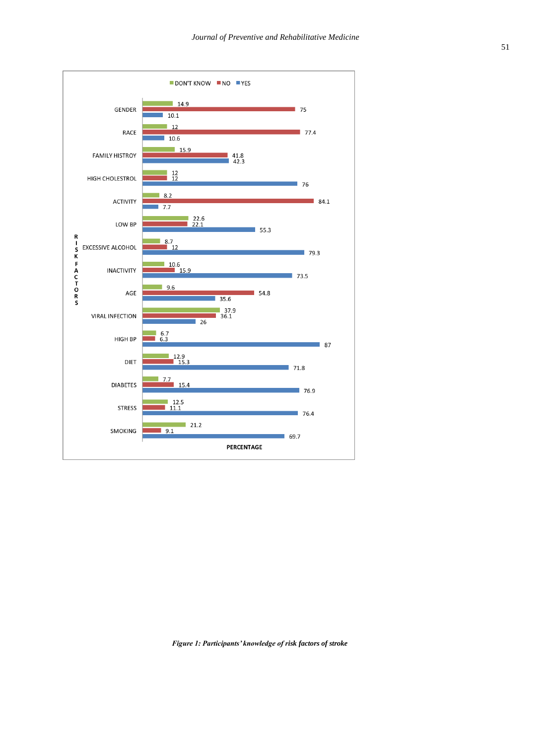

*Figure 1: Participants' knowledge of risk factors of stroke*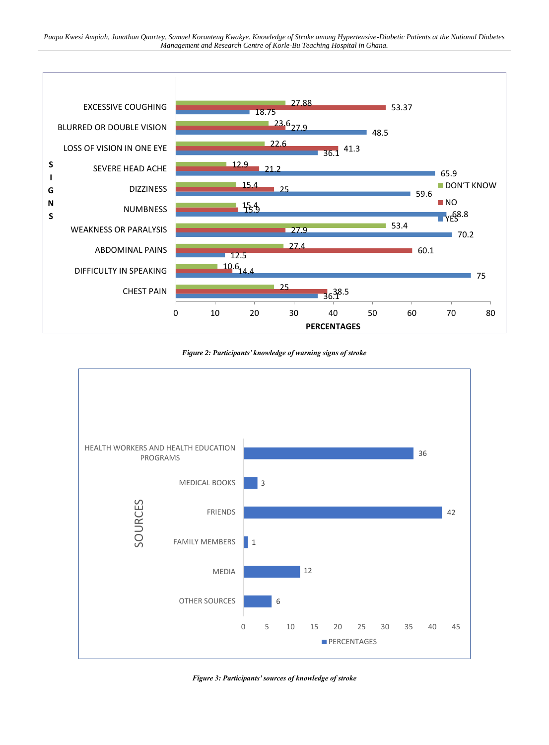

*Figure 2: Participants' knowledge of warning signs of stroke*



*Figure 3: Participants' sources of knowledge of stroke*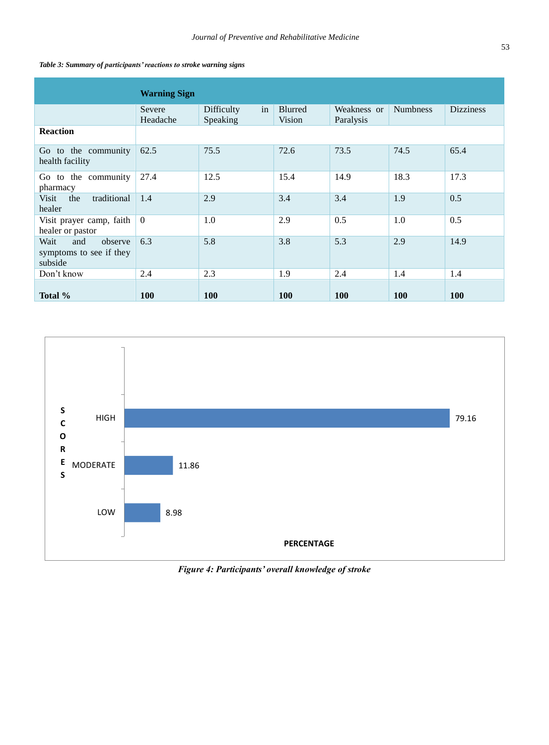|                                                              | <b>Warning Sign</b> |                              |                          |                          |                 |                  |
|--------------------------------------------------------------|---------------------|------------------------------|--------------------------|--------------------------|-----------------|------------------|
|                                                              | Severe<br>Headache  | in<br>Difficulty<br>Speaking | <b>Blurred</b><br>Vision | Weakness or<br>Paralysis | <b>Numbress</b> | <b>Dizziness</b> |
| <b>Reaction</b>                                              |                     |                              |                          |                          |                 |                  |
| Go to the community<br>health facility                       | 62.5                | 75.5                         | 72.6                     | 73.5                     | 74.5            | 65.4             |
| Go to the community<br>pharmacy                              | 27.4                | 12.5                         | 15.4                     | 14.9                     | 18.3            | 17.3             |
| traditional<br>Visit<br>the<br>healer                        | 1.4                 | 2.9                          | 3.4                      | 3.4                      | 1.9             | 0.5              |
| Visit prayer camp, faith<br>healer or pastor                 | $\mathbf{0}$        | 1.0                          | 2.9                      | 0.5                      | 1.0             | 0.5              |
| Wait<br>and<br>observe<br>symptoms to see if they<br>subside | 6.3                 | 5.8                          | 3.8                      | 5.3                      | 2.9             | 14.9             |
| Don't know                                                   | 2.4                 | 2.3                          | 1.9                      | 2.4                      | 1.4             | 1.4              |
| Total %                                                      | 100                 | <b>100</b>                   | 100                      | 100                      | 100             | 100              |





*Figure 4: Participants' overall knowledge of stroke*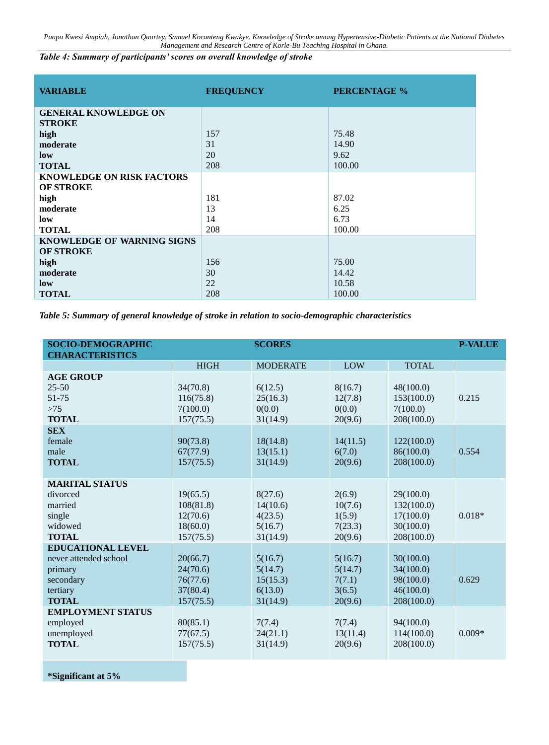*Table 4: Summary of participants' scores on overall knowledge of stroke*

| <b>VARIABLE</b>                   | <b>FREQUENCY</b> | <b>PERCENTAGE %</b> |
|-----------------------------------|------------------|---------------------|
| <b>GENERAL KNOWLEDGE ON</b>       |                  |                     |
| <b>STROKE</b>                     |                  |                     |
| high                              | 157              | 75.48               |
| moderate                          | 31               | 14.90               |
| low                               | 20               | 9.62                |
| <b>TOTAL</b>                      | 208              | 100.00              |
| <b>KNOWLEDGE ON RISK FACTORS</b>  |                  |                     |
| <b>OF STROKE</b>                  |                  |                     |
| high                              | 181              | 87.02               |
| moderate                          | 13               | 6.25                |
| low                               | 14               | 6.73                |
| <b>TOTAL</b>                      | 208              | 100.00              |
| <b>KNOWLEDGE OF WARNING SIGNS</b> |                  |                     |
| <b>OF STROKE</b>                  |                  |                     |
| high                              | 156              | 75.00               |
| moderate                          | 30               | 14.42               |
| low                               | 22               | 10.58               |
| <b>TOTAL</b>                      | 208              | 100.00              |

*Table 5: Summary of general knowledge of stroke in relation to socio-demographic characteristics*

| <b>SOCIO-DEMOGRAPHIC</b><br><b>CHARACTERISTICS</b>                                                    |                                                            | <b>SCORES</b>                                         |                                                   |                                                                 | <b>P-VALUE</b> |
|-------------------------------------------------------------------------------------------------------|------------------------------------------------------------|-------------------------------------------------------|---------------------------------------------------|-----------------------------------------------------------------|----------------|
|                                                                                                       | <b>HIGH</b>                                                | <b>MODERATE</b>                                       | LOW                                               | <b>TOTAL</b>                                                    |                |
| <b>AGE GROUP</b><br>$25 - 50$<br>51-75<br>$>75$<br><b>TOTAL</b>                                       | 34(70.8)<br>116(75.8)<br>7(100.0)<br>157(75.5)             | 6(12.5)<br>25(16.3)<br>0(0.0)<br>31(14.9)             | 8(16.7)<br>12(7.8)<br>0(0.0)<br>20(9.6)           | 48(100.0)<br>153(100.0)<br>7(100.0)<br>208(100.0)               | 0.215          |
| <b>SEX</b><br>female<br>male<br><b>TOTAL</b>                                                          | 90(73.8)<br>67(77.9)<br>157(75.5)                          | 18(14.8)<br>13(15.1)<br>31(14.9)                      | 14(11.5)<br>6(7.0)<br>20(9.6)                     | 122(100.0)<br>86(100.0)<br>208(100.0)                           | 0.554          |
| <b>MARITAL STATUS</b><br>divorced<br>married<br>single<br>widowed<br><b>TOTAL</b>                     | 19(65.5)<br>108(81.8)<br>12(70.6)<br>18(60.0)<br>157(75.5) | 8(27.6)<br>14(10.6)<br>4(23.5)<br>5(16.7)<br>31(14.9) | 2(6.9)<br>10(7.6)<br>1(5.9)<br>7(23.3)<br>20(9.6) | 29(100.0)<br>132(100.0)<br>17(100.0)<br>30(100.0)<br>208(100.0) | $0.018*$       |
| <b>EDUCATIONAL LEVEL</b><br>never attended school<br>primary<br>secondary<br>tertiary<br><b>TOTAL</b> | 20(66.7)<br>24(70.6)<br>76(77.6)<br>37(80.4)<br>157(75.5)  | 5(16.7)<br>5(14.7)<br>15(15.3)<br>6(13.0)<br>31(14.9) | 5(16.7)<br>5(14.7)<br>7(7.1)<br>3(6.5)<br>20(9.6) | 30(100.0)<br>34(100.0)<br>98(100.0)<br>46(100.0)<br>208(100.0)  | 0.629          |
| <b>EMPLOYMENT STATUS</b><br>employed<br>unemployed<br><b>TOTAL</b>                                    | 80(85.1)<br>77(67.5)<br>157(75.5)                          | 7(7.4)<br>24(21.1)<br>31(14.9)                        | 7(7.4)<br>13(11.4)<br>20(9.6)                     | 94(100.0)<br>114(100.0)<br>208(100.0)                           | $0.009*$       |

**\*Significant at 5%**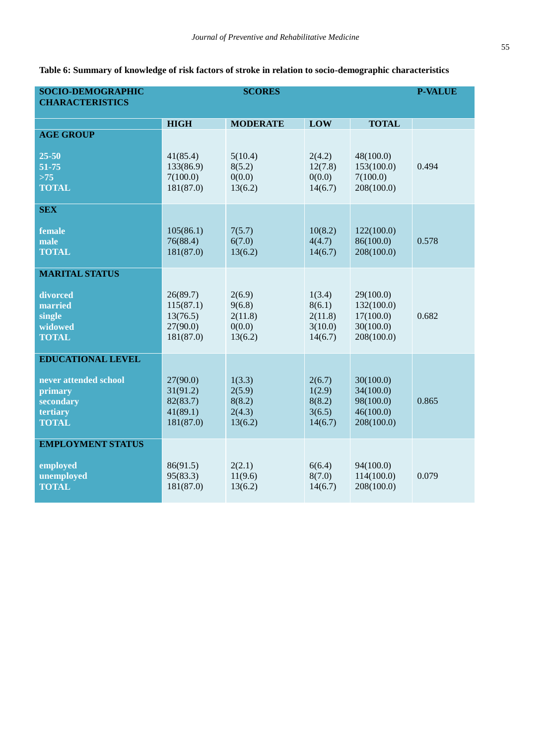**Table 6: Summary of knowledge of risk factors of stroke in relation to socio-demographic characteristics**

| SOCIO-DEMOGRAPHIC                |             | <b>SCORES</b>   |            |              | <b>P-VALUE</b> |
|----------------------------------|-------------|-----------------|------------|--------------|----------------|
| <b>CHARACTERISTICS</b>           |             |                 |            |              |                |
|                                  |             |                 |            |              |                |
|                                  | <b>HIGH</b> | <b>MODERATE</b> | <b>LOW</b> | <b>TOTAL</b> |                |
| <b>AGE GROUP</b>                 |             |                 |            |              |                |
|                                  |             |                 |            |              |                |
| $25 - 50$                        | 41(85.4)    | 5(10.4)         | 2(4.2)     | 48(100.0)    |                |
| 51-75                            | 133(86.9)   | 8(5.2)          | 12(7.8)    | 153(100.0)   | 0.494          |
| >75                              | 7(100.0)    | 0(0.0)          | 0(0.0)     | 7(100.0)     |                |
| <b>TOTAL</b>                     | 181(87.0)   | 13(6.2)         | 14(6.7)    | 208(100.0)   |                |
| <b>SEX</b>                       |             |                 |            |              |                |
|                                  |             |                 |            |              |                |
| female                           | 105(86.1)   | 7(5.7)          | 10(8.2)    | 122(100.0)   |                |
| male                             | 76(88.4)    | 6(7.0)          | 4(4.7)     | 86(100.0)    | 0.578          |
| <b>TOTAL</b>                     | 181(87.0)   | 13(6.2)         | 14(6.7)    | 208(100.0)   |                |
|                                  |             |                 |            |              |                |
| <b>MARITAL STATUS</b>            |             |                 |            |              |                |
|                                  |             |                 |            |              |                |
| divorced                         | 26(89.7)    | 2(6.9)          | 1(3.4)     | 29(100.0)    |                |
| married                          | 115(87.1)   | 9(6.8)          | 8(6.1)     | 132(100.0)   |                |
| single                           | 13(76.5)    | 2(11.8)         | 2(11.8)    | 17(100.0)    | 0.682          |
| widowed                          | 27(90.0)    | 0(0.0)          | 3(10.0)    | 30(100.0)    |                |
| <b>TOTAL</b>                     | 181(87.0)   | 13(6.2)         | 14(6.7)    | 208(100.0)   |                |
|                                  |             |                 |            |              |                |
| <b>EDUCATIONAL LEVEL</b>         |             |                 |            |              |                |
|                                  | 27(90.0)    | 1(3.3)          | 2(6.7)     | 30(100.0)    |                |
| never attended school<br>primary | 31(91.2)    | 2(5.9)          | 1(2.9)     | 34(100.0)    |                |
| secondary                        | 82(83.7)    | 8(8.2)          | 8(8.2)     | 98(100.0)    | 0.865          |
| tertiary                         | 41(89.1)    | 2(4.3)          | 3(6.5)     | 46(100.0)    |                |
| <b>TOTAL</b>                     | 181(87.0)   | 13(6.2)         | 14(6.7)    | 208(100.0)   |                |
|                                  |             |                 |            |              |                |
| <b>EMPLOYMENT STATUS</b>         |             |                 |            |              |                |
|                                  |             |                 |            |              |                |
| employed                         | 86(91.5)    | 2(2.1)          | 6(6.4)     | 94(100.0)    |                |
| unemployed                       | 95(83.3)    | 11(9.6)         | 8(7.0)     | 114(100.0)   | 0.079          |
| <b>TOTAL</b>                     | 181(87.0)   | 13(6.2)         | 14(6.7)    | 208(100.0)   |                |
|                                  |             |                 |            |              |                |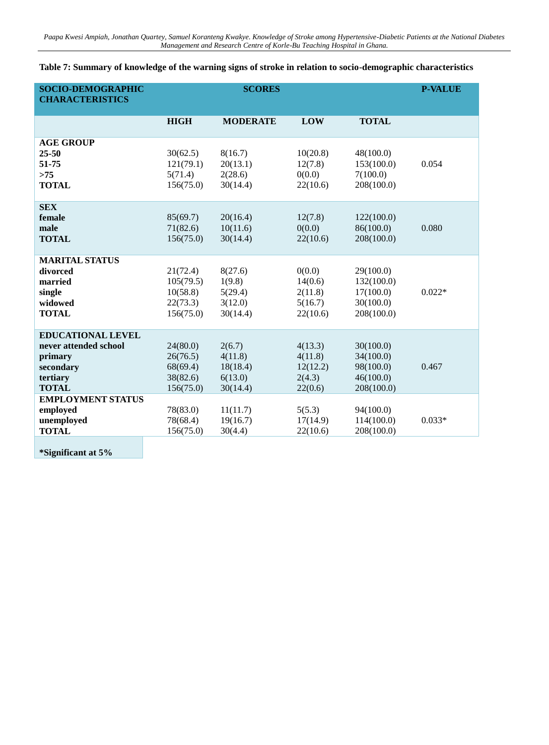| <b>SOCIO-DEMOGRAPHIC</b><br><b>CHARACTERISTICS</b>                                                    |                                                            | <b>SCORES</b>                                        |                                                     |                                                                 | <b>P-VALUE</b> |
|-------------------------------------------------------------------------------------------------------|------------------------------------------------------------|------------------------------------------------------|-----------------------------------------------------|-----------------------------------------------------------------|----------------|
|                                                                                                       | <b>HIGH</b>                                                | <b>MODERATE</b>                                      | <b>LOW</b>                                          | <b>TOTAL</b>                                                    |                |
| <b>AGE GROUP</b><br>$25 - 50$<br>51-75<br>>75<br><b>TOTAL</b>                                         | 30(62.5)<br>121(79.1)<br>5(71.4)<br>156(75.0)              | 8(16.7)<br>20(13.1)<br>2(28.6)<br>30(14.4)           | 10(20.8)<br>12(7.8)<br>0(0.0)<br>22(10.6)           | 48(100.0)<br>153(100.0)<br>7(100.0)<br>208(100.0)               | 0.054          |
| <b>SEX</b><br>female<br>male<br><b>TOTAL</b>                                                          | 85(69.7)<br>71(82.6)<br>156(75.0)                          | 20(16.4)<br>10(11.6)<br>30(14.4)                     | 12(7.8)<br>0(0.0)<br>22(10.6)                       | 122(100.0)<br>86(100.0)<br>208(100.0)                           | 0.080          |
| <b>MARITAL STATUS</b><br>divorced<br>married<br>single<br>widowed<br><b>TOTAL</b>                     | 21(72.4)<br>105(79.5)<br>10(58.8)<br>22(73.3)<br>156(75.0) | 8(27.6)<br>1(9.8)<br>5(29.4)<br>3(12.0)<br>30(14.4)  | 0(0.0)<br>14(0.6)<br>2(11.8)<br>5(16.7)<br>22(10.6) | 29(100.0)<br>132(100.0)<br>17(100.0)<br>30(100.0)<br>208(100.0) | $0.022*$       |
| <b>EDUCATIONAL LEVEL</b><br>never attended school<br>primary<br>secondary<br>tertiary<br><b>TOTAL</b> | 24(80.0)<br>26(76.5)<br>68(69.4)<br>38(82.6)<br>156(75.0)  | 2(6.7)<br>4(11.8)<br>18(18.4)<br>6(13.0)<br>30(14.4) | 4(13.3)<br>4(11.8)<br>12(12.2)<br>2(4.3)<br>22(0.6) | 30(100.0)<br>34(100.0)<br>98(100.0)<br>46(100.0)<br>208(100.0)  | 0.467          |
| <b>EMPLOYMENT STATUS</b><br>employed<br>unemployed<br><b>TOTAL</b>                                    | 78(83.0)<br>78(68.4)<br>156(75.0)                          | 11(11.7)<br>19(16.7)<br>30(4.4)                      | 5(5.3)<br>17(14.9)<br>22(10.6)                      | 94(100.0)<br>114(100.0)<br>208(100.0)                           | $0.033*$       |

# **Table 7: Summary of knowledge of the warning signs of stroke in relation to socio-demographic characteristics**

**\*Significant at 5%**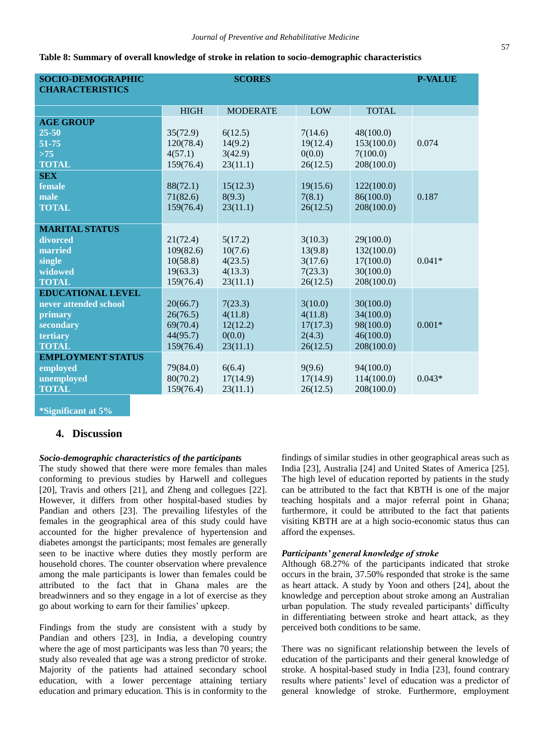| <b>SOCIO-DEMOGRAPHIC</b><br><b>CHARACTERISTICS</b> |             | <b>SCORES</b>   |          |              | <b>P-VALUE</b> |
|----------------------------------------------------|-------------|-----------------|----------|--------------|----------------|
|                                                    | <b>HIGH</b> | <b>MODERATE</b> | LOW      | <b>TOTAL</b> |                |
| <b>AGE GROUP</b>                                   |             |                 |          |              |                |
| $25 - 50$                                          | 35(72.9)    | 6(12.5)         | 7(14.6)  | 48(100.0)    |                |
| 51-75                                              | 120(78.4)   | 14(9.2)         | 19(12.4) | 153(100.0)   | 0.074          |
| $>75$                                              | 4(57.1)     | 3(42.9)         | 0(0.0)   | 7(100.0)     |                |
| <b>TOTAL</b>                                       | 159(76.4)   | 23(11.1)        | 26(12.5) | 208(100.0)   |                |
| <b>SEX</b>                                         |             |                 |          |              |                |
| female                                             | 88(72.1)    | 15(12.3)        | 19(15.6) | 122(100.0)   |                |
| male                                               | 71(82.6)    | 8(9.3)          | 7(8.1)   | 86(100.0)    | 0.187          |
| <b>TOTAL</b>                                       | 159(76.4)   | 23(11.1)        | 26(12.5) | 208(100.0)   |                |
| <b>MARITAL STATUS</b>                              |             |                 |          |              |                |
| divorced                                           | 21(72.4)    | 5(17.2)         | 3(10.3)  | 29(100.0)    |                |
| married                                            | 109(82.6)   | 10(7.6)         | 13(9.8)  | 132(100.0)   |                |
| single                                             | 10(58.8)    | 4(23.5)         | 3(17.6)  | 17(100.0)    | $0.041*$       |
| widowed                                            | 19(63.3)    | 4(13.3)         | 7(23.3)  | 30(100.0)    |                |
| <b>TOTAL</b>                                       | 159(76.4)   | 23(11.1)        | 26(12.5) | 208(100.0)   |                |
| <b>EDUCATIONAL LEVEL</b>                           |             |                 |          |              |                |
| never attended school                              | 20(66.7)    | 7(23.3)         | 3(10.0)  | 30(100.0)    |                |
| primary                                            | 26(76.5)    | 4(11.8)         | 4(11.8)  | 34(100.0)    |                |
| secondary                                          | 69(70.4)    | 12(12.2)        | 17(17.3) | 98(100.0)    | $0.001*$       |
| tertiary                                           | 44(95.7)    | 0(0.0)          | 2(4.3)   | 46(100.0)    |                |
| <b>TOTAL</b>                                       | 159(76.4)   | 23(11.1)        | 26(12.5) | 208(100.0)   |                |
| <b>EMPLOYMENT STATUS</b>                           |             |                 |          |              |                |
| employed                                           | 79(84.0)    | 6(6.4)          | 9(9.6)   | 94(100.0)    |                |
| unemployed                                         | 80(70.2)    | 17(14.9)        | 17(14.9) | 114(100.0)   | $0.043*$       |
| <b>TOTAL</b>                                       | 159(76.4)   | 23(11.1)        | 26(12.5) | 208(100.0)   |                |

**Table 8: Summary of overall knowledge of stroke in relation to socio-demographic characteristics**

**\*Significant at 5%**

## **4. Discussion**

#### *Socio-demographic characteristics of the participants*

The study showed that there were more females than males conforming to previous studies by Harwell and collegues [20], Travis and others [21], and Zheng and collegues [22]. However, it differs from other hospital-based studies by Pandian and others [23]. The prevailing lifestyles of the females in the geographical area of this study could have accounted for the higher prevalence of hypertension and diabetes amongst the participants; most females are generally seen to be inactive where duties they mostly perform are household chores. The counter observation where prevalence among the male participants is lower than females could be attributed to the fact that in Ghana males are the breadwinners and so they engage in a lot of exercise as they go about working to earn for their families' upkeep.

Findings from the study are consistent with a study by Pandian and others [23], in India, a developing country where the age of most participants was less than 70 years; the study also revealed that age was a strong predictor of stroke. Majority of the patients had attained secondary school education, with a lower percentage attaining tertiary education and primary education. This is in conformity to the findings of similar studies in other geographical areas such as India [23], Australia [24] and United States of America [25]. The high level of education reported by patients in the study can be attributed to the fact that KBTH is one of the major teaching hospitals and a major referral point in Ghana; furthermore, it could be attributed to the fact that patients visiting KBTH are at a high socio-economic status thus can afford the expenses.

#### *Participants' general knowledge of stroke*

Although 68.27% of the participants indicated that stroke occurs in the brain, 37.50% responded that stroke is the same as heart attack. A study by Yoon and others [24], about the knowledge and perception about stroke among an Australian urban population. The study revealed participants' difficulty in differentiating between stroke and heart attack, as they perceived both conditions to be same.

There was no significant relationship between the levels of education of the participants and their general knowledge of stroke. A hospital-based study in India [23], found contrary results where patients' level of education was a predictor of general knowledge of stroke. Furthermore, employment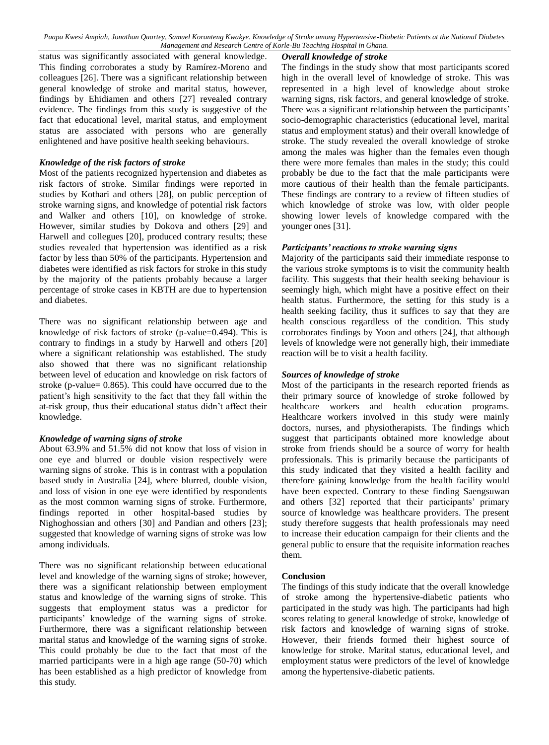*Overall knowledge of stroke*

status was significantly associated with general knowledge. This finding corroborates a study by Ramírez-Moreno and colleagues [26]. There was a significant relationship between general knowledge of stroke and marital status, however, findings by Ehidiamen and others [27] revealed contrary evidence. The findings from this study is suggestive of the fact that educational level, marital status, and employment status are associated with persons who are generally enlightened and have positive health seeking behaviours.

#### *Knowledge of the risk factors of stroke*

Most of the patients recognized hypertension and diabetes as risk factors of stroke. Similar findings were reported in studies by Kothari and others [28], on public perception of stroke warning signs, and knowledge of potential risk factors and Walker and others [10], on knowledge of stroke. However, similar studies by Dokova and others [29] and Harwell and collegues [20], produced contrary results; these studies revealed that hypertension was identified as a risk factor by less than 50% of the participants. Hypertension and diabetes were identified as risk factors for stroke in this study by the majority of the patients probably because a larger percentage of stroke cases in KBTH are due to hypertension and diabetes.

There was no significant relationship between age and knowledge of risk factors of stroke (p-value=0.494). This is contrary to findings in a study by Harwell and others [20] where a significant relationship was established. The study also showed that there was no significant relationship between level of education and knowledge on risk factors of stroke (p-value= 0.865). This could have occurred due to the patient's high sensitivity to the fact that they fall within the at-risk group, thus their educational status didn't affect their knowledge.

#### *Knowledge of warning signs of stroke*

About 63.9% and 51.5% did not know that loss of vision in one eye and blurred or double vision respectively were warning signs of stroke. This is in contrast with a population based study in Australia [24], where blurred, double vision, and loss of vision in one eye were identified by respondents as the most common warning signs of stroke. Furthermore, findings reported in other hospital-based studies by Nighoghossian and others [30] and Pandian and others [23]; suggested that knowledge of warning signs of stroke was low among individuals.

There was no significant relationship between educational level and knowledge of the warning signs of stroke; however, there was a significant relationship between employment status and knowledge of the warning signs of stroke. This suggests that employment status was a predictor for participants' knowledge of the warning signs of stroke. Furthermore, there was a significant relationship between marital status and knowledge of the warning signs of stroke. This could probably be due to the fact that most of the married participants were in a high age range (50-70) which has been established as a high predictor of knowledge from this study.

The findings in the study show that most participants scored high in the overall level of knowledge of stroke. This was represented in a high level of knowledge about stroke warning signs, risk factors, and general knowledge of stroke. There was a significant relationship between the participants' socio-demographic characteristics (educational level, marital status and employment status) and their overall knowledge of stroke. The study revealed the overall knowledge of stroke among the males was higher than the females even though there were more females than males in the study; this could probably be due to the fact that the male participants were more cautious of their health than the female participants. These findings are contrary to a review of fifteen studies of which knowledge of stroke was low, with older people showing lower levels of knowledge compared with the younger ones [31].

#### *Participants' reactions to stroke warning signs*

Majority of the participants said their immediate response to the various stroke symptoms is to visit the community health facility. This suggests that their health seeking behaviour is seemingly high, which might have a positive effect on their health status. Furthermore, the setting for this study is a health seeking facility, thus it suffices to say that they are health conscious regardless of the condition. This study corroborates findings by Yoon and others [24], that although levels of knowledge were not generally high, their immediate reaction will be to visit a health facility.

### *Sources of knowledge of stroke*

Most of the participants in the research reported friends as their primary source of knowledge of stroke followed by healthcare workers and health education programs. Healthcare workers involved in this study were mainly doctors, nurses, and physiotherapists. The findings which suggest that participants obtained more knowledge about stroke from friends should be a source of worry for health professionals. This is primarily because the participants of this study indicated that they visited a health facility and therefore gaining knowledge from the health facility would have been expected. Contrary to these finding Saengsuwan and others [32] reported that their participants' primary source of knowledge was healthcare providers. The present study therefore suggests that health professionals may need to increase their education campaign for their clients and the general public to ensure that the requisite information reaches them.

#### **Conclusion**

The findings of this study indicate that the overall knowledge of stroke among the hypertensive-diabetic patients who participated in the study was high. The participants had high scores relating to general knowledge of stroke, knowledge of risk factors and knowledge of warning signs of stroke. However, their friends formed their highest source of knowledge for stroke. Marital status, educational level, and employment status were predictors of the level of knowledge among the hypertensive-diabetic patients.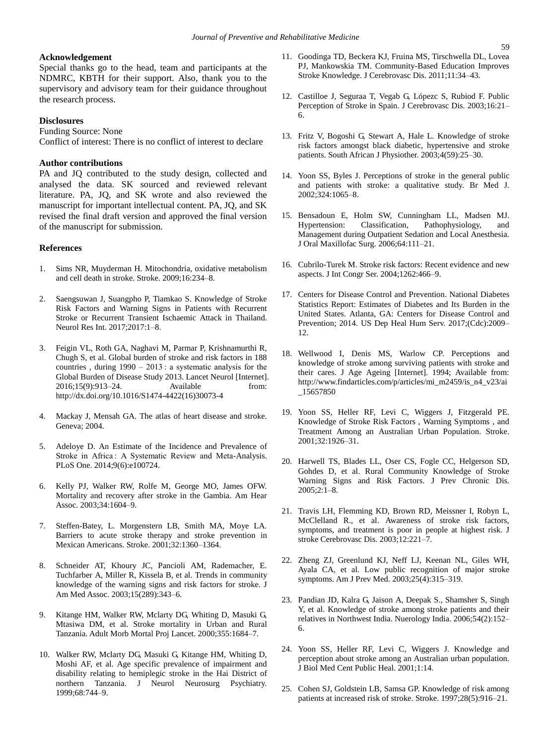#### **Acknowledgement**

Special thanks go to the head, team and participants at the NDMRC, KBTH for their support. Also, thank you to the supervisory and advisory team for their guidance throughout the research process.

#### **Disclosures**

Funding Source: None

Conflict of interest: There is no conflict of interest to declare

#### **Author contributions**

PA and JQ contributed to the study design, collected and analysed the data. SK sourced and reviewed relevant literature. PA, JQ, and SK wrote and also reviewed the manuscript for important intellectual content. PA, JQ, and SK revised the final draft version and approved the final version of the manuscript for submission.

#### **References**

- 1. Sims NR, Muyderman H. Mitochondria, oxidative metabolism and cell death in stroke. Stroke. 2009;16:234–8.
- 2. Saengsuwan J, Suangpho P, Tiamkao S. Knowledge of Stroke Risk Factors and Warning Signs in Patients with Recurrent Stroke or Recurrent Transient Ischaemic Attack in Thailand. Neurol Res Int. 2017;2017:1–8.
- 3. Feigin VL, Roth GA, Naghavi M, Parmar P, Krishnamurthi R, Chugh S, et al. Global burden of stroke and risk factors in 188 countries , during 1990 – 2013 : a systematic analysis for the Global Burden of Disease Study 2013. Lancet Neurol [Internet]. 2016;15(9):913–24. Available from: http://dx.doi.org/10.1016/S1474-4422(16)30073-4
- 4. Mackay J, Mensah GA. The atlas of heart disease and stroke. Geneva; 2004.
- 5. Adeloye D. An Estimate of the Incidence and Prevalence of Stroke in Africa : A Systematic Review and Meta-Analysis. PLoS One. 2014;9(6):e100724.
- 6. Kelly PJ, Walker RW, Rolfe M, George MO, James OFW. Mortality and recovery after stroke in the Gambia. Am Hear Assoc. 2003;34:1604–9.
- 7. Steffen-Batey, L. Morgenstern LB, Smith MA, Moye LA. Barriers to acute stroke therapy and stroke prevention in Mexican Americans. Stroke. 2001;32:1360–1364.
- 8. Schneider AT, Khoury JC, Pancioli AM, Rademacher, E. Tuchfarber A, Miller R, Kissela B, et al. Trends in community knowledge of the warning signs and risk factors for stroke. J Am Med Assoc. 2003;15(289):343–6.
- 9. Kitange HM, Walker RW, Mclarty DG, Whiting D, Masuki G, Mtasiwa DM, et al. Stroke mortality in Urban and Rural Tanzania. Adult Morb Mortal Proj Lancet. 2000;355:1684–7.
- 10. Walker RW, Mclarty DG, Masuki G, Kitange HM, Whiting D, Moshi AF, et al. Age specific prevalence of impairment and disability relating to hemiplegic stroke in the Hai District of northern Tanzania. J Neurol Neurosurg Psychiatry. 1999;68:744–9.
- 11. Goodinga TD, Beckera KJ, Fruina MS, Tirschwella DL, Lovea PJ, Mankowskia TM. Community-Based Education Improves Stroke Knowledge. J Cerebrovasc Dis. 2011;11:34–43.
- 12. Castilloe J, Seguraa T, Vegab G, Lópezc S, Rubiod F. Public Perception of Stroke in Spain. J Cerebrovasc Dis. 2003;16:21– 6.
- 13. Fritz V, Bogoshi G, Stewart A, Hale L. Knowledge of stroke risk factors amongst black diabetic, hypertensive and stroke patients. South African J Physiother. 2003;4(59):25–30.
- 14. Yoon SS, Byles J. Perceptions of stroke in the general public and patients with stroke: a qualitative study. Br Med J. 2002;324:1065–8.
- 15. Bensadoun E, Holm SW, Cunningham LL, Madsen MJ. Hypertension: Classification, Pathophysiology, and Management during Outpatient Sedation and Local Anesthesia. J Oral Maxillofac Surg. 2006;64:111–21.
- 16. Cubrilo-Turek M. Stroke risk factors: Recent evidence and new aspects. J Int Congr Ser. 2004;1262:466–9.
- 17. Centers for Disease Control and Prevention. National Diabetes Statistics Report: Estimates of Diabetes and Its Burden in the United States. Atlanta, GA: Centers for Disease Control and Prevention; 2014. US Dep Heal Hum Serv. 2017;(Cdc):2009– 12.
- 18. Wellwood I, Denis MS, Warlow CP. Perceptions and knowledge of stroke among surviving patients with stroke and their cares. J Age Ageing [Internet]. 1994; Available from: http://www.findarticles.com/p/articles/mi\_m2459/is\_n4\_v23/ai \_15657850
- 19. Yoon SS, Heller RF, Levi C, Wiggers J, Fitzgerald PE. Knowledge of Stroke Risk Factors , Warning Symptoms , and Treatment Among an Australian Urban Population. Stroke. 2001;32:1926–31.
- 20. Harwell TS, Blades LL, Oser CS, Fogle CC, Helgerson SD, Gohdes D, et al. Rural Community Knowledge of Stroke Warning Signs and Risk Factors. J Prev Chronic Dis. 2005;2:1–8.
- 21. Travis LH, Flemming KD, Brown RD, Meissner I, Robyn L, McClelland R., et al. Awareness of stroke risk factors, symptoms, and treatment is poor in people at highest risk. J stroke Cerebrovasc Dis. 2003;12:221–7.
- 22. Zheng ZJ, Greenlund KJ, Neff LJ, Keenan NL, Giles WH, Ayala CA, et al. Low public recognition of major stroke symptoms. Am J Prev Med. 2003;25(4):315–319.
- 23. Pandian JD, Kalra G, Jaison A, Deepak S., Shamsher S, Singh Y, et al. Knowledge of stroke among stroke patients and their relatives in Northwest India. Nuerology India. 2006;54(2):152– 6.
- 24. Yoon SS, Heller RF, Levi C, Wiggers J. Knowledge and perception about stroke among an Australian urban population. J Biol Med Cent Public Heal. 2001;1:14.
- 25. Cohen SJ, Goldstein LB, Samsa GP. Knowledge of risk among patients at increased risk of stroke. Stroke. 1997;28(5):916–21.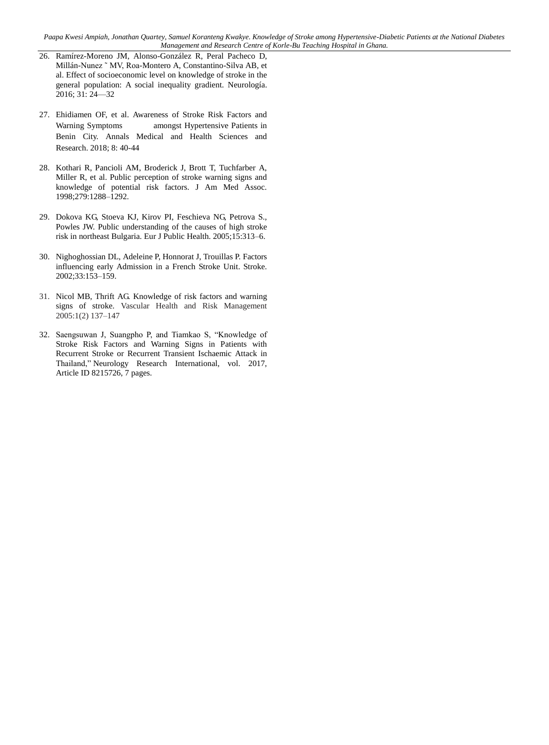- 26. Ramírez-Moreno JM, Alonso-González R, Peral Pacheco D, Millán-Nunez ˜ MV, Roa-Montero A, Constantino-Silva AB, et al. Effect of socioeconomic level on knowledge of stroke in the general population: A social inequality gradient. Neurología. 2016; 31: 24—32
- 27. Ehidiamen OF, et al. Awareness of Stroke Risk Factors and Warning Symptoms amongst Hypertensive Patients in Benin City. Annals Medical and Health Sciences and Research. 2018; 8: 40-44
- 28. Kothari R, Pancioli AM, Broderick J, Brott T, Tuchfarber A, Miller R, et al. Public perception of stroke warning signs and knowledge of potential risk factors. J Am Med Assoc. 1998;279:1288–1292.
- 29. Dokova KG, Stoeva KJ, Kirov PI, Feschieva NG, Petrova S., Powles JW. Public understanding of the causes of high stroke risk in northeast Bulgaria. Eur J Public Health. 2005;15:313–6.
- 30. Nighoghossian DL, Adeleine P, Honnorat J, Trouillas P. Factors influencing early Admission in a French Stroke Unit. Stroke. 2002;33:153–159.
- 31. Nicol MB, Thrift AG. Knowledge of risk factors and warning signs of stroke. Vascular Health and Risk Management 2005:1(2) 137–147
- 32. Saengsuwan J, Suangpho P, and Tiamkao S, "Knowledge of Stroke Risk Factors and Warning Signs in Patients with Recurrent Stroke or Recurrent Transient Ischaemic Attack in Thailand," Neurology Research International, vol. 2017, Article ID 8215726, 7 pages.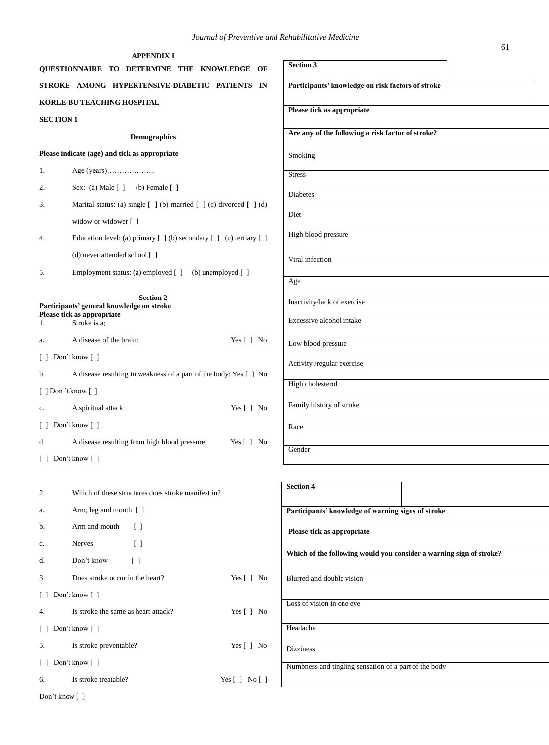|                  | <b>APPENDIX I</b><br>QUESTIONNAIRE TO DETERMINE THE KNOWLEDGE             | OF                           | <b>Section 3</b>  |
|------------------|---------------------------------------------------------------------------|------------------------------|-------------------|
|                  | STROKE AMONG HYPERTENSIVE-DIABETIC PATIENTS                               | IN                           | Participa         |
|                  | <b>KORLE-BU TEACHING HOSPITAL</b>                                         |                              |                   |
| <b>SECTION 1</b> |                                                                           |                              | <b>Please tic</b> |
|                  | <b>Demographics</b>                                                       |                              | Are any o         |
|                  | Please indicate (age) and tick as appropriate                             |                              | Smoking           |
| 1.               |                                                                           |                              | <b>Stress</b>     |
| 2.               | Sex: (a) Male $[ ]$ (b) Female $[ ]$                                      |                              |                   |
| 3.               | Marital status: (a) single [ ] (b) married [ ] (c) divorced [ ] (d)       |                              | Diabetes          |
|                  | widow or widower []                                                       |                              | Diet              |
| 4.               | Education level: (a) primary $[ ] (b)$ secondary $[ ] (c)$ tertiary $[ ]$ |                              | High bloc         |
|                  | (d) never attended school $\lceil$ 1                                      |                              | Viral infe        |
| 5.               | Employment status: (a) employed [ ] (b) unemployed [ ]                    |                              |                   |
|                  |                                                                           |                              | Age               |
|                  | <b>Section 2</b><br>Participants' general knowledge on stroke             |                              | <b>Inactivity</b> |
| 1.               | Please tick as appropriate<br>Stroke is a:                                |                              | Excessive         |
| a.               | A disease of the brain:                                                   | Yes [ ] No                   | Low bloo          |
| $\perp$          | Don't know $\lceil \; \rceil$                                             |                              |                   |
| b.               | A disease resulting in weakness of a part of the body: Yes [] No          |                              | Activity/         |
|                  | $[$ ] Don 't know $[$ ]                                                   |                              | High chol         |
| c.               | A spiritual attack:                                                       | Yes $\lceil \cdot \rceil$ No | Family hi         |
| $\perp$          | Don't know $\lceil \; \rceil$                                             |                              | Race              |
| d.               | A disease resulting from high blood pressure                              | Yes $\lceil \cdot \rceil$ No |                   |
|                  | [ ] Don't know [ ]                                                        |                              | Gender            |
|                  |                                                                           |                              |                   |
| 2.               | Which of these structures does stroke manifest in?                        |                              | <b>Section 4</b>  |
| a.               | Arm, leg and mouth [ ]                                                    |                              | Participal        |
| b.               | Arm and mouth<br>$\Box$                                                   |                              | <b>Please</b> tic |
| $\mathbf{c}.$    | Nerves<br>$\begin{bmatrix} \end{bmatrix}$                                 |                              |                   |
| d.               | Don't know<br>$\left[ \begin{array}{c} \end{array} \right]$               |                              | Which of          |
| 3.               | Does stroke occur in the heart?                                           | Yes [ ] No                   | Blurred an        |
| $\Box$           | Don't know $\lceil \; \rceil$                                             |                              |                   |
| 4.               | Is stroke the same as heart attack?                                       | Yes [ ] No                   | Loss of vis       |
| $\perp$          | Don't know []                                                             |                              | Headache          |
| 5.               | Is stroke preventable?                                                    | Yes $[ ]$ No                 | <b>Dizziness</b>  |
| Ιl               | Don't know $\lceil \; \rceil$                                             |                              | Numbness          |
| 6.               | Is stroke treatable?                                                      | Yes [ ] No [ ]               |                   |
|                  |                                                                           |                              |                   |

Don't know [ ]

| Participants' knowledge on risk factors of stroke                   |  |
|---------------------------------------------------------------------|--|
| Please tick as appropriate                                          |  |
| Are any of the following a risk factor of stroke?                   |  |
| Smoking                                                             |  |
| <b>Stress</b>                                                       |  |
| Diabetes                                                            |  |
| Diet                                                                |  |
| High blood pressure                                                 |  |
| Viral infection                                                     |  |
| Age                                                                 |  |
| Inactivity/lack of exercise                                         |  |
| Excessive alcohol intake                                            |  |
| Low blood pressure                                                  |  |
| Activity /regular exercise                                          |  |
| High cholesterol                                                    |  |
| Family history of stroke                                            |  |
| Race                                                                |  |
| Gender                                                              |  |
|                                                                     |  |
| <b>Section 4</b>                                                    |  |
| Participants' knowledge of warning signs of stroke                  |  |
| Please tick as appropriate                                          |  |
| Which of the following would you consider a warning sign of stroke? |  |
| Blurred and double vision                                           |  |
| Loss of vision in one eye                                           |  |
| Headache                                                            |  |
| <b>Dizziness</b>                                                    |  |
| Numbness and tingling sensation of a part of the body               |  |
|                                                                     |  |